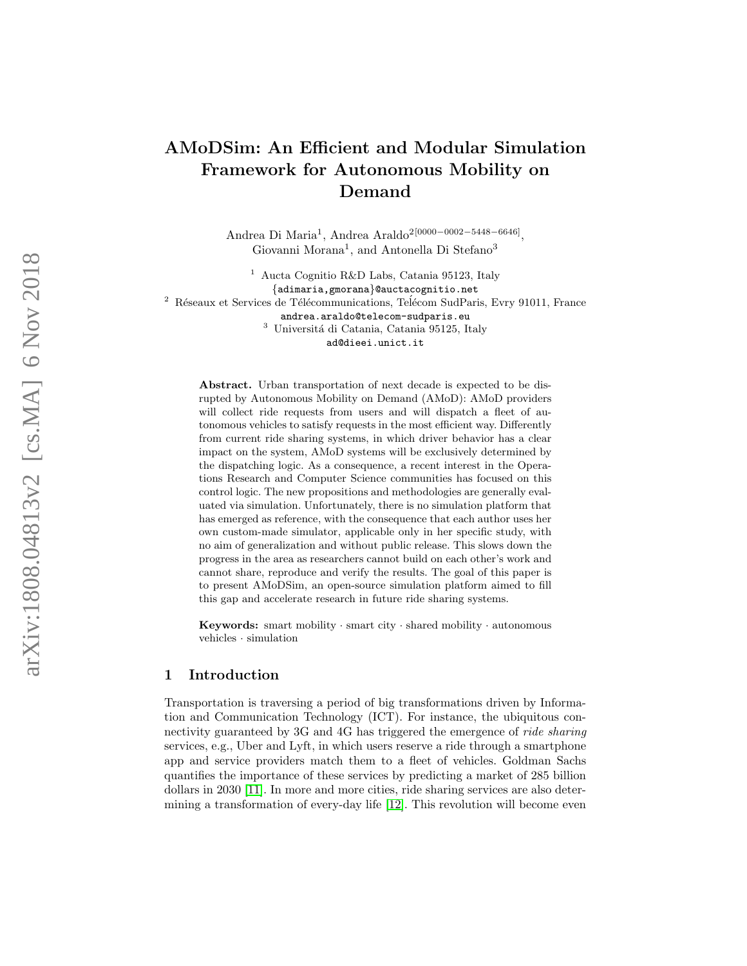# AMoDSim: An Efficient and Modular Simulation Framework for Autonomous Mobility on Demand

Andrea Di Maria<sup>1</sup>, Andrea Araldo<sup>2</sup><sup>[0000–0002–5448–6646]</sup>, Giovanni Morana<sup>1</sup>, and Antonella Di Stefano<sup>3</sup>

<sup>1</sup> Aucta Cognitio R&D Labs, Catania 95123, Italy {adimaria,gmorana}@auctacognitio.net

<sup>2</sup> Réseaux et Services de Télécommunications, Telécom SudParis, Evry 91011, France

andrea.araldo@telecom-sudparis.eu

 $^3\,$ Universitá di Catania, Catania 95125, Italy ad@dieei.unict.it

Abstract. Urban transportation of next decade is expected to be disrupted by Autonomous Mobility on Demand (AMoD): AMoD providers will collect ride requests from users and will dispatch a fleet of autonomous vehicles to satisfy requests in the most efficient way. Differently from current ride sharing systems, in which driver behavior has a clear impact on the system, AMoD systems will be exclusively determined by the dispatching logic. As a consequence, a recent interest in the Operations Research and Computer Science communities has focused on this control logic. The new propositions and methodologies are generally evaluated via simulation. Unfortunately, there is no simulation platform that has emerged as reference, with the consequence that each author uses her own custom-made simulator, applicable only in her specific study, with no aim of generalization and without public release. This slows down the progress in the area as researchers cannot build on each other's work and cannot share, reproduce and verify the results. The goal of this paper is to present AMoDSim, an open-source simulation platform aimed to fill this gap and accelerate research in future ride sharing systems.

Keywords: smart mobility · smart city · shared mobility · autonomous vehicles · simulation

## <span id="page-0-0"></span>1 Introduction

Transportation is traversing a period of big transformations driven by Information and Communication Technology (ICT). For instance, the ubiquitous connectivity guaranteed by 3G and 4G has triggered the emergence of ride sharing services, e.g., Uber and Lyft, in which users reserve a ride through a smartphone app and service providers match them to a fleet of vehicles. Goldman Sachs quantifies the importance of these services by predicting a market of 285 billion dollars in 2030 [\[11\]](#page-12-0). In more and more cities, ride sharing services are also determining a transformation of every-day life [\[12\]](#page-12-1). This revolution will become even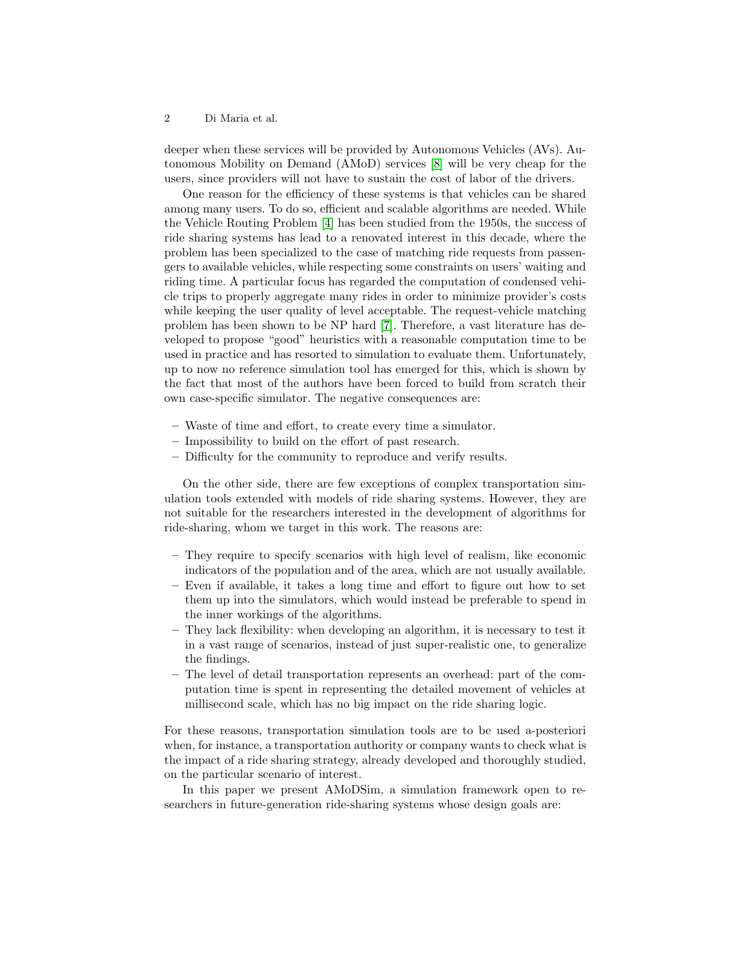deeper when these services will be provided by Autonomous Vehicles (AVs). Autonomous Mobility on Demand (AMoD) services [\[8\]](#page-12-2) will be very cheap for the users, since providers will not have to sustain the cost of labor of the drivers.

One reason for the efficiency of these systems is that vehicles can be shared among many users. To do so, efficient and scalable algorithms are needed. While the Vehicle Routing Problem [\[4\]](#page-11-0) has been studied from the 1950s, the success of ride sharing systems has lead to a renovated interest in this decade, where the problem has been specialized to the case of matching ride requests from passengers to available vehicles, while respecting some constraints on users' waiting and riding time. A particular focus has regarded the computation of condensed vehicle trips to properly aggregate many rides in order to minimize provider's costs while keeping the user quality of level acceptable. The request-vehicle matching problem has been shown to be NP hard [\[7\]](#page-12-3). Therefore, a vast literature has developed to propose "good" heuristics with a reasonable computation time to be used in practice and has resorted to simulation to evaluate them. Unfortunately, up to now no reference simulation tool has emerged for this, which is shown by the fact that most of the authors have been forced to build from scratch their own case-specific simulator. The negative consequences are:

- Waste of time and effort, to create every time a simulator.
- Impossibility to build on the effort of past research.
- Difficulty for the community to reproduce and verify results.

On the other side, there are few exceptions of complex transportation simulation tools extended with models of ride sharing systems. However, they are not suitable for the researchers interested in the development of algorithms for ride-sharing, whom we target in this work. The reasons are:

- They require to specify scenarios with high level of realism, like economic indicators of the population and of the area, which are not usually available.
- Even if available, it takes a long time and effort to figure out how to set them up into the simulators, which would instead be preferable to spend in the inner workings of the algorithms.
- They lack flexibility: when developing an algorithm, it is necessary to test it in a vast range of scenarios, instead of just super-realistic one, to generalize the findings.
- The level of detail transportation represents an overhead: part of the computation time is spent in representing the detailed movement of vehicles at millisecond scale, which has no big impact on the ride sharing logic.

For these reasons, transportation simulation tools are to be used a-posteriori when, for instance, a transportation authority or company wants to check what is the impact of a ride sharing strategy, already developed and thoroughly studied, on the particular scenario of interest.

In this paper we present AMoDSim, a simulation framework open to researchers in future-generation ride-sharing systems whose design goals are: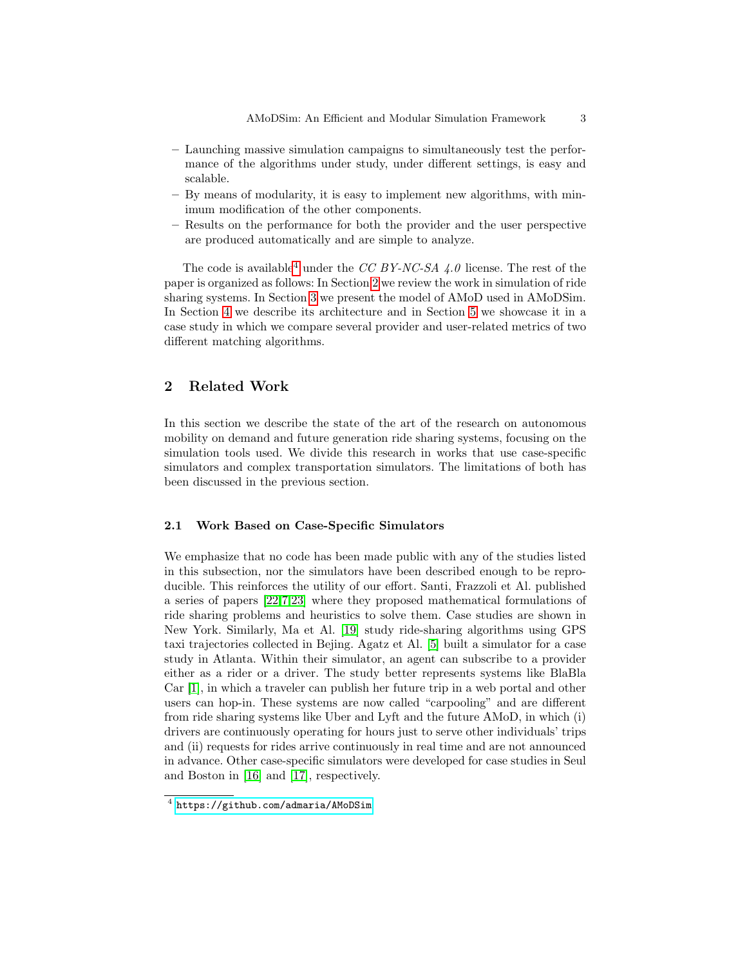- Launching massive simulation campaigns to simultaneously test the performance of the algorithms under study, under different settings, is easy and scalable.
- By means of modularity, it is easy to implement new algorithms, with minimum modification of the other components.
- Results on the performance for both the provider and the user perspective are produced automatically and are simple to analyze.

The code is available<sup>[4](#page-2-0)</sup> under the CC BY-NC-SA 4.0 license. The rest of the paper is organized as follows: In Section [2](#page-2-1) we review the work in simulation of ride sharing systems. In Section [3](#page-3-0) we present the model of AMoD used in AMoDSim. In Section [4](#page-6-0) we describe its architecture and in Section [5](#page-8-0) we showcase it in a case study in which we compare several provider and user-related metrics of two different matching algorithms.

## <span id="page-2-1"></span>2 Related Work

In this section we describe the state of the art of the research on autonomous mobility on demand and future generation ride sharing systems, focusing on the simulation tools used. We divide this research in works that use case-specific simulators and complex transportation simulators. The limitations of both has been discussed in the previous section.

#### 2.1 Work Based on Case-Specific Simulators

We emphasize that no code has been made public with any of the studies listed in this subsection, nor the simulators have been described enough to be reproducible. This reinforces the utility of our effort. Santi, Frazzoli et Al. published a series of papers [\[22](#page-12-4)[,7,](#page-12-3)[23\]](#page-12-5) where they proposed mathematical formulations of ride sharing problems and heuristics to solve them. Case studies are shown in New York. Similarly, Ma et Al. [\[19\]](#page-12-6) study ride-sharing algorithms using GPS taxi trajectories collected in Bejing. Agatz et Al. [\[5\]](#page-11-1) built a simulator for a case study in Atlanta. Within their simulator, an agent can subscribe to a provider either as a rider or a driver. The study better represents systems like BlaBla Car [\[1\]](#page-11-2), in which a traveler can publish her future trip in a web portal and other users can hop-in. These systems are now called "carpooling" and are different from ride sharing systems like Uber and Lyft and the future AMoD, in which (i) drivers are continuously operating for hours just to serve other individuals' trips and (ii) requests for rides arrive continuously in real time and are not announced in advance. Other case-specific simulators were developed for case studies in Seul and Boston in [\[16\]](#page-12-7) and [\[17\]](#page-12-8), respectively.

<span id="page-2-0"></span><sup>4</sup> <https://github.com/admaria/AMoDSim>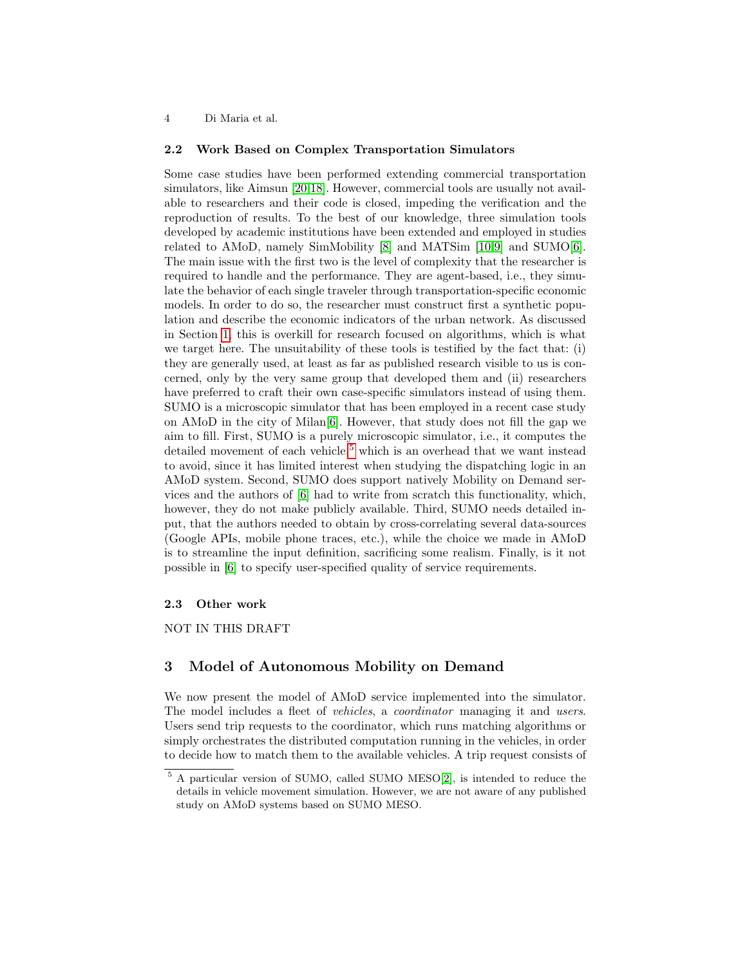#### 2.2 Work Based on Complex Transportation Simulators

Some case studies have been performed extending commercial transportation simulators, like Aimsun [\[20,](#page-12-9)[18\]](#page-12-10). However, commercial tools are usually not available to researchers and their code is closed, impeding the verification and the reproduction of results. To the best of our knowledge, three simulation tools developed by academic institutions have been extended and employed in studies related to AMoD, namely SimMobility [\[8\]](#page-12-2) and MATSim [\[10](#page-12-11)[,9\]](#page-12-12) and SUMO[\[6\]](#page-12-13). The main issue with the first two is the level of complexity that the researcher is required to handle and the performance. They are agent-based, i.e., they simulate the behavior of each single traveler through transportation-specific economic models. In order to do so, the researcher must construct first a synthetic population and describe the economic indicators of the urban network. As discussed in Section [1,](#page-0-0) this is overkill for research focused on algorithms, which is what we target here. The unsuitability of these tools is testified by the fact that: (i) they are generally used, at least as far as published research visible to us is concerned, only by the very same group that developed them and (ii) researchers have preferred to craft their own case-specific simulators instead of using them. SUMO is a microscopic simulator that has been employed in a recent case study on AMoD in the city of Milan[\[6\]](#page-12-13). However, that study does not fill the gap we aim to fill. First, SUMO is a purely microscopic simulator, i.e., it computes the detailed movement of each vehicle,<sup>[5](#page-3-1)</sup> which is an overhead that we want instead to avoid, since it has limited interest when studying the dispatching logic in an AMoD system. Second, SUMO does support natively Mobility on Demand services and the authors of [\[6\]](#page-12-13) had to write from scratch this functionality, which, however, they do not make publicly available. Third, SUMO needs detailed input, that the authors needed to obtain by cross-correlating several data-sources (Google APIs, mobile phone traces, etc.), while the choice we made in AMoD is to streamline the input definition, sacrificing some realism. Finally, is it not possible in [\[6\]](#page-12-13) to specify user-specified quality of service requirements.

#### 2.3 Other work

NOT IN THIS DRAFT

## <span id="page-3-0"></span>3 Model of Autonomous Mobility on Demand

We now present the model of AMoD service implemented into the simulator. The model includes a fleet of *vehicles*, a *coordinator* managing it and *users*. Users send trip requests to the coordinator, which runs matching algorithms or simply orchestrates the distributed computation running in the vehicles, in order to decide how to match them to the available vehicles. A trip request consists of

<span id="page-3-1"></span><sup>5</sup> A particular version of SUMO, called SUMO MESO[\[2\]](#page-11-3), is intended to reduce the details in vehicle movement simulation. However, we are not aware of any published study on AMoD systems based on SUMO MESO.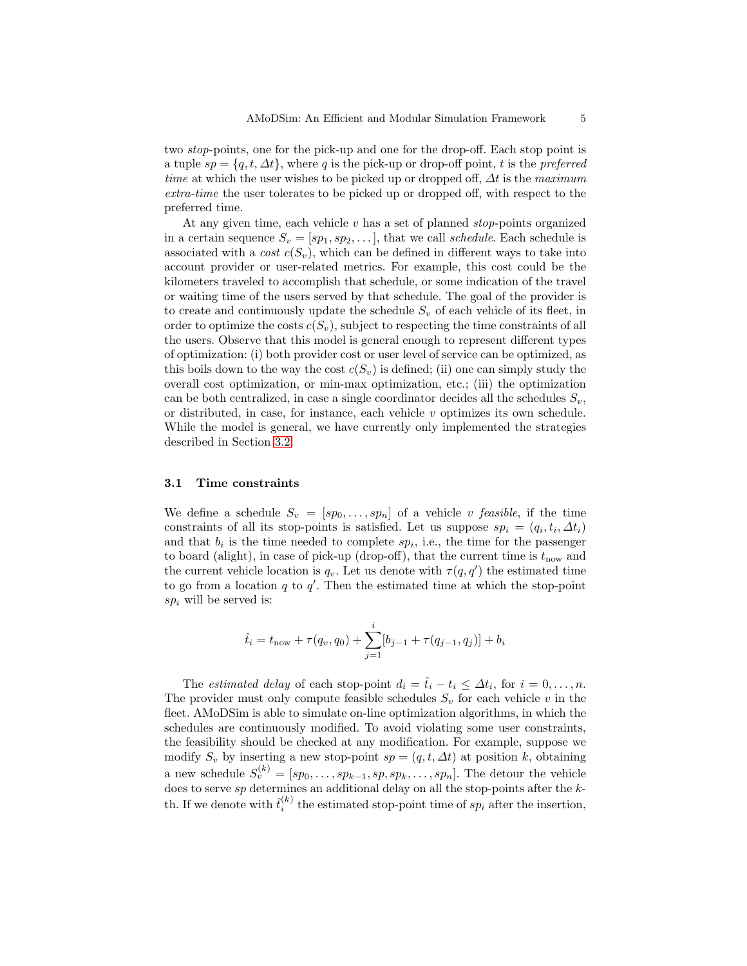two stop-points, one for the pick-up and one for the drop-off. Each stop point is a tuple  $sp = \{q, t, \Delta t\}$ , where q is the pick-up or drop-off point, t is the preferred time at which the user wishes to be picked up or dropped off,  $\Delta t$  is the maximum extra-time the user tolerates to be picked up or dropped off, with respect to the preferred time.

At any given time, each vehicle  $v$  has a set of planned stop-points organized in a certain sequence  $S_v = [sp_1, sp_2, \ldots]$ , that we call schedule. Each schedule is associated with a cost  $c(S_v)$ , which can be defined in different ways to take into account provider or user-related metrics. For example, this cost could be the kilometers traveled to accomplish that schedule, or some indication of the travel or waiting time of the users served by that schedule. The goal of the provider is to create and continuously update the schedule  $S_v$  of each vehicle of its fleet, in order to optimize the costs  $c(S_v)$ , subject to respecting the time constraints of all the users. Observe that this model is general enough to represent different types of optimization: (i) both provider cost or user level of service can be optimized, as this boils down to the way the cost  $c(S_v)$  is defined; (ii) one can simply study the overall cost optimization, or min-max optimization, etc.; (iii) the optimization can be both centralized, in case a single coordinator decides all the schedules  $S_n$ , or distributed, in case, for instance, each vehicle  $v$  optimizes its own schedule. While the model is general, we have currently only implemented the strategies described in Section [3.2.](#page-5-0)

#### <span id="page-4-0"></span>3.1 Time constraints

We define a schedule  $S_v = [sp_0, \ldots, sp_n]$  of a vehicle v feasible, if the time constraints of all its stop-points is satisfied. Let us suppose  $sp_i = (q_i, t_i, \Delta t_i)$ and that  $b_i$  is the time needed to complete  $sp_i$ , i.e., the time for the passenger to board (alight), in case of pick-up (drop-off), that the current time is  $t_{\text{now}}$  and the current vehicle location is  $q_v$ . Let us denote with  $\tau(q,q')$  the estimated time to go from a location  $q$  to  $q'$ . Then the estimated time at which the stop-point  $sp_i$  will be served is:

$$
\hat{t}_i = t_{\text{now}} + \tau(q_v, q_0) + \sum_{j=1}^i [b_{j-1} + \tau(q_{j-1}, q_j)] + b_i
$$

The *estimated delay* of each stop-point  $d_i = \hat{t}_i - t_i \leq \Delta t_i$ , for  $i = 0, \ldots, n$ . The provider must only compute feasible schedules  $S_v$  for each vehicle v in the fleet. AMoDSim is able to simulate on-line optimization algorithms, in which the schedules are continuously modified. To avoid violating some user constraints, the feasibility should be checked at any modification. For example, suppose we modify  $S_v$  by inserting a new stop-point  $sp = (q, t, \Delta t)$  at position k, obtaining a new schedule  $S_v^{(k)} = [sp_0, \ldots, sp_{k-1}, sp, sp_k, \ldots, sp_n]$ . The detour the vehicle does to serve sp determines an additional delay on all the stop-points after the  $k$ th. If we denote with  $\hat{t}_i^{(k)}$  the estimated stop-point time of  $sp_i$  after the insertion,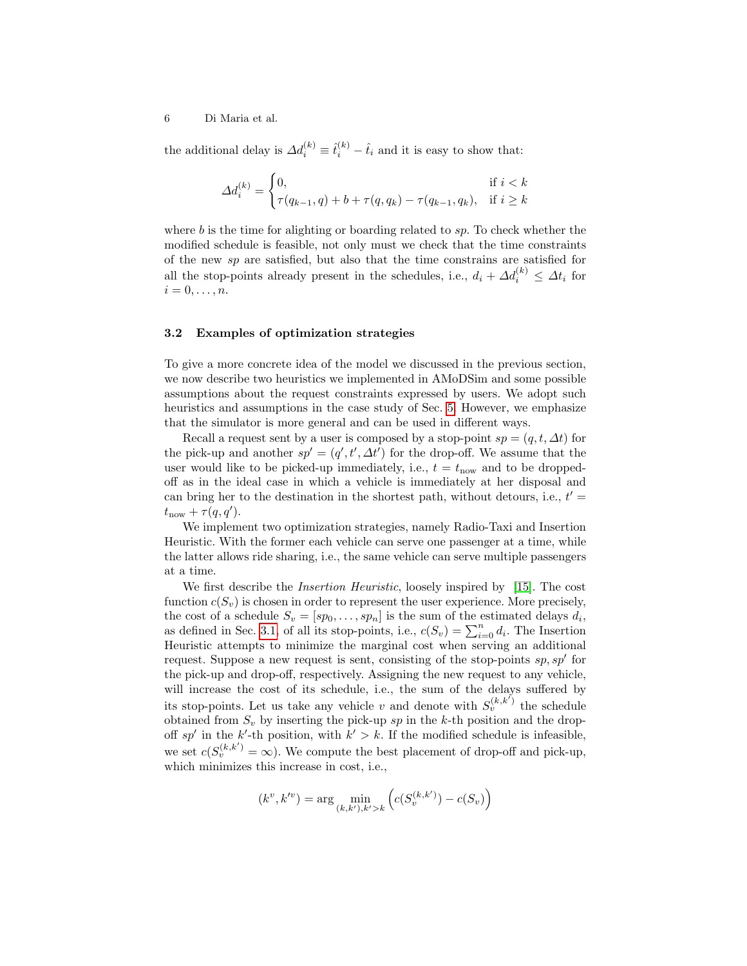the additional delay is  $\Delta d_i^{(k)} \equiv \hat{t}_i^{(k)} - \hat{t}_i$  and it is easy to show that:

$$
\Delta d_i^{(k)} = \begin{cases} 0, & \text{if } i < k \\ \tau(q_{k-1}, q) + b + \tau(q, q_k) - \tau(q_{k-1}, q_k), & \text{if } i \ge k \end{cases}
$$

where b is the time for alighting or boarding related to  $sp$ . To check whether the modified schedule is feasible, not only must we check that the time constraints of the new sp are satisfied, but also that the time constrains are satisfied for all the stop-points already present in the schedules, i.e.,  $d_i + \Delta d_i^{(k)} \leq \Delta t_i$  for  $i=0,\ldots,n.$ 

#### <span id="page-5-0"></span>3.2 Examples of optimization strategies

To give a more concrete idea of the model we discussed in the previous section, we now describe two heuristics we implemented in AMoDSim and some possible assumptions about the request constraints expressed by users. We adopt such heuristics and assumptions in the case study of Sec. [5.](#page-8-0) However, we emphasize that the simulator is more general and can be used in different ways.

Recall a request sent by a user is composed by a stop-point  $sp = (q, t, \Delta t)$  for the pick-up and another  $sp' = (q', t', \Delta t')$  for the drop-off. We assume that the user would like to be picked-up immediately, i.e.,  $t = t_{\text{now}}$  and to be droppedoff as in the ideal case in which a vehicle is immediately at her disposal and can bring her to the destination in the shortest path, without detours, i.e.,  $t' =$  $t_{\text{now}} + \tau(q,q').$ 

We implement two optimization strategies, namely Radio-Taxi and Insertion Heuristic. With the former each vehicle can serve one passenger at a time, while the latter allows ride sharing, i.e., the same vehicle can serve multiple passengers at a time.

We first describe the Insertion Heuristic, loosely inspired by [\[15\]](#page-12-14). The cost function  $c(S_v)$  is chosen in order to represent the user experience. More precisely, the cost of a schedule  $S_v = [sp_0, \ldots, sp_n]$  is the sum of the estimated delays  $d_i$ , as defined in Sec. [3.1,](#page-4-0) of all its stop-points, i.e.,  $c(S_v) = \sum_{i=0}^{n} d_i$ . The Insertion Heuristic attempts to minimize the marginal cost when serving an additional request. Suppose a new request is sent, consisting of the stop-points  $sp, sp'$  for the pick-up and drop-off, respectively. Assigning the new request to any vehicle, will increase the cost of its schedule, i.e., the sum of the delays suffered by its stop-points. Let us take any vehicle v and denote with  $S_v^{(k, k')}$  the schedule obtained from  $S_v$  by inserting the pick-up sp in the k-th position and the dropoff sp' in the k'-th position, with  $k' > k$ . If the modified schedule is infeasible, we set  $c(S_v^{(k,k')} = \infty)$ . We compute the best placement of drop-off and pick-up, which minimizes this increase in cost, i.e.,

$$
(k^v, k'^v) = \arg\min_{(k, k'), k' > k} \left( c(S_v^{(k, k')}) - c(S_v) \right)
$$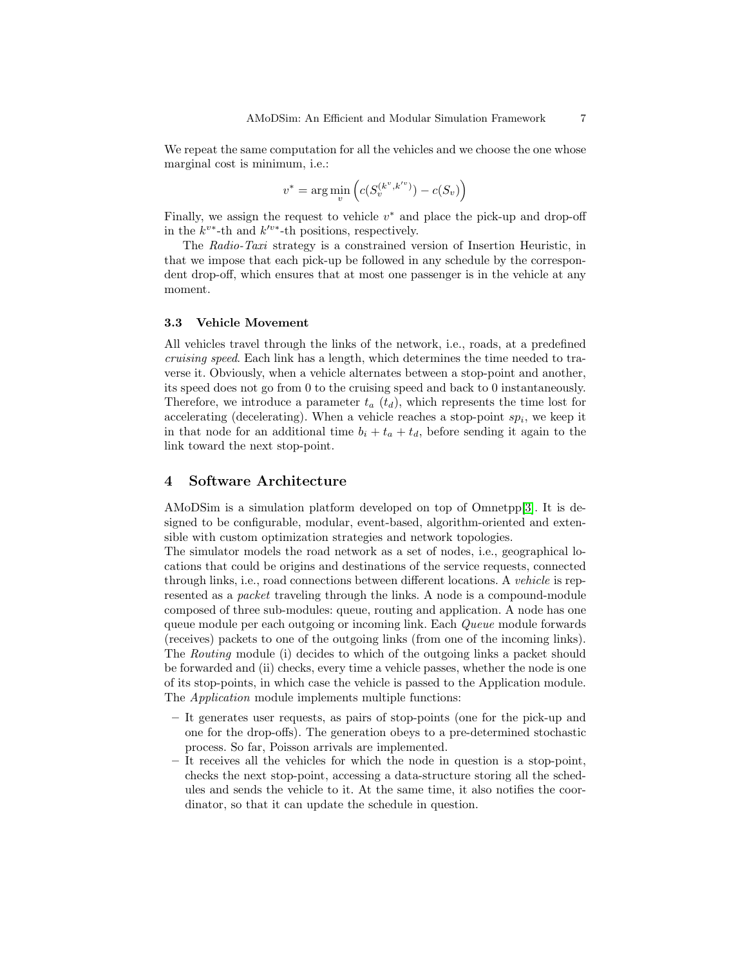We repeat the same computation for all the vehicles and we choose the one whose marginal cost is minimum, i.e.:

$$
v^* = \arg\min_v \left( c(S_v^{(k^v, k'^v)}) - c(S_v) \right)
$$

Finally, we assign the request to vehicle  $v^*$  and place the pick-up and drop-off in the  $k^{v*}$ -th and  $k'^{v*}$ -th positions, respectively.

The Radio-Taxi strategy is a constrained version of Insertion Heuristic, in that we impose that each pick-up be followed in any schedule by the correspondent drop-off, which ensures that at most one passenger is in the vehicle at any moment.

#### <span id="page-6-1"></span>3.3 Vehicle Movement

All vehicles travel through the links of the network, i.e., roads, at a predefined cruising speed. Each link has a length, which determines the time needed to traverse it. Obviously, when a vehicle alternates between a stop-point and another, its speed does not go from 0 to the cruising speed and back to 0 instantaneously. Therefore, we introduce a parameter  $t_a$  ( $t_d$ ), which represents the time lost for accelerating (decelerating). When a vehicle reaches a stop-point  $sp_i$ , we keep it in that node for an additional time  $b_i + t_a + t_d$ , before sending it again to the link toward the next stop-point.

## <span id="page-6-0"></span>4 Software Architecture

AMoDSim is a simulation platform developed on top of Omnetpp[\[3\]](#page-11-4). It is designed to be configurable, modular, event-based, algorithm-oriented and extensible with custom optimization strategies and network topologies.

The simulator models the road network as a set of nodes, i.e., geographical locations that could be origins and destinations of the service requests, connected through links, i.e., road connections between different locations. A vehicle is represented as a packet traveling through the links. A node is a compound-module composed of three sub-modules: queue, routing and application. A node has one queue module per each outgoing or incoming link. Each Queue module forwards (receives) packets to one of the outgoing links (from one of the incoming links). The Routing module (i) decides to which of the outgoing links a packet should be forwarded and (ii) checks, every time a vehicle passes, whether the node is one of its stop-points, in which case the vehicle is passed to the Application module. The Application module implements multiple functions:

- It generates user requests, as pairs of stop-points (one for the pick-up and one for the drop-offs). The generation obeys to a pre-determined stochastic process. So far, Poisson arrivals are implemented.
- It receives all the vehicles for which the node in question is a stop-point, checks the next stop-point, accessing a data-structure storing all the schedules and sends the vehicle to it. At the same time, it also notifies the coordinator, so that it can update the schedule in question.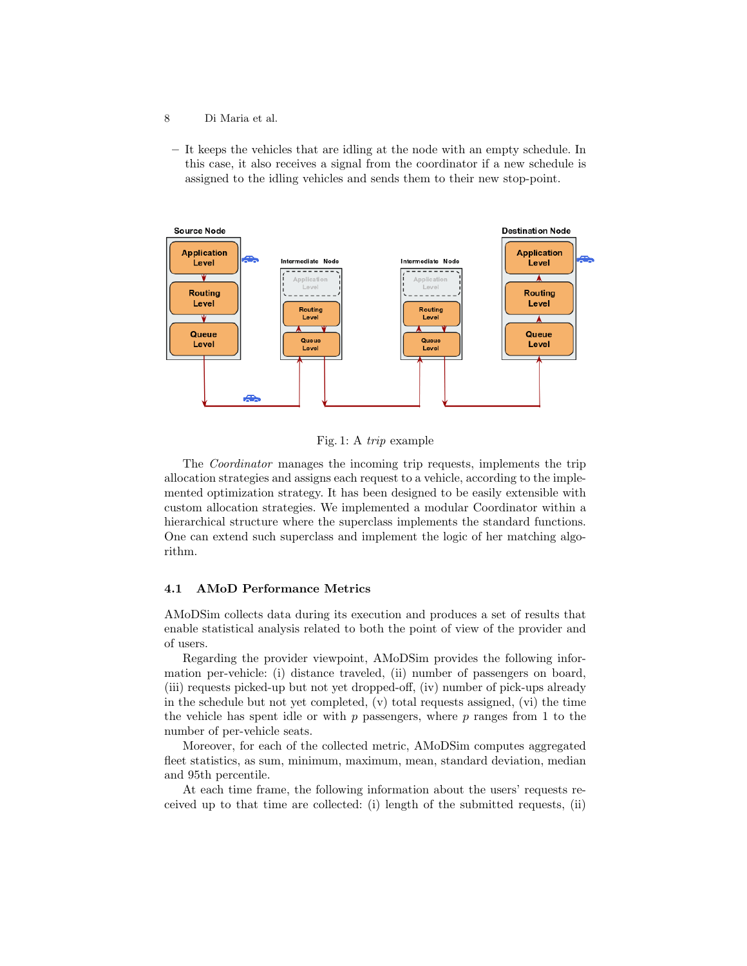- 8 Di Maria et al.
- It keeps the vehicles that are idling at the node with an empty schedule. In this case, it also receives a signal from the coordinator if a new schedule is assigned to the idling vehicles and sends them to their new stop-point.



Fig. 1: A trip example

The Coordinator manages the incoming trip requests, implements the trip allocation strategies and assigns each request to a vehicle, according to the implemented optimization strategy. It has been designed to be easily extensible with custom allocation strategies. We implemented a modular Coordinator within a hierarchical structure where the superclass implements the standard functions. One can extend such superclass and implement the logic of her matching algorithm.

#### 4.1 AMoD Performance Metrics

AMoDSim collects data during its execution and produces a set of results that enable statistical analysis related to both the point of view of the provider and of users.

Regarding the provider viewpoint, AMoDSim provides the following information per-vehicle: (i) distance traveled, (ii) number of passengers on board, (iii) requests picked-up but not yet dropped-off, (iv) number of pick-ups already in the schedule but not yet completed, (v) total requests assigned, (vi) the time the vehicle has spent idle or with  $p$  passengers, where  $p$  ranges from 1 to the number of per-vehicle seats.

Moreover, for each of the collected metric, AMoDSim computes aggregated fleet statistics, as sum, minimum, maximum, mean, standard deviation, median and 95th percentile.

At each time frame, the following information about the users' requests received up to that time are collected: (i) length of the submitted requests, (ii)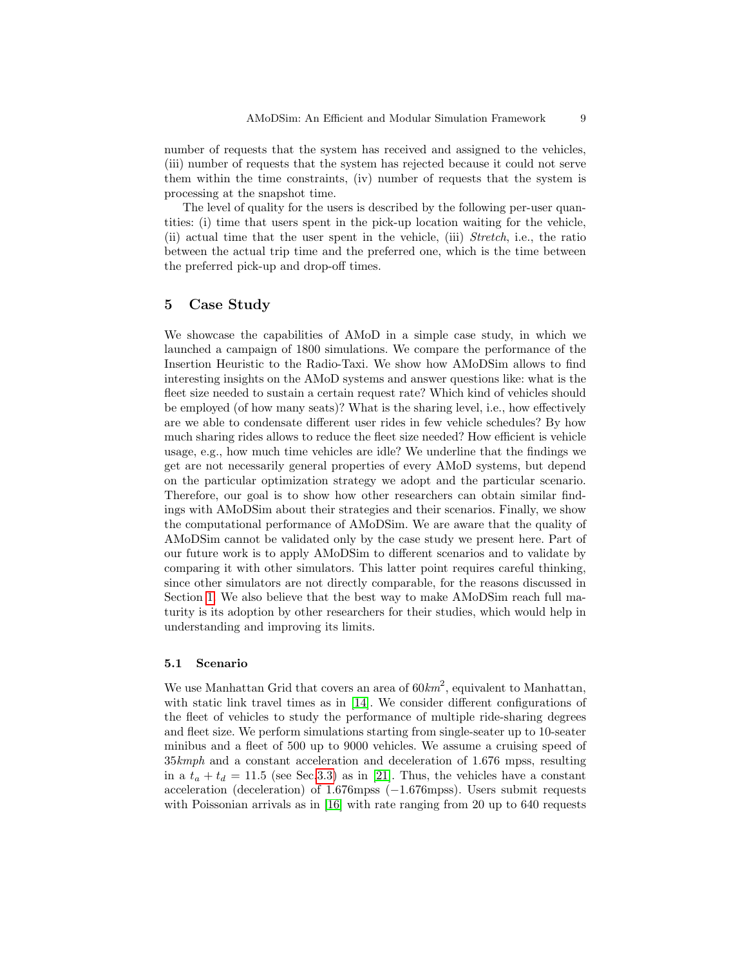number of requests that the system has received and assigned to the vehicles, (iii) number of requests that the system has rejected because it could not serve them within the time constraints, (iv) number of requests that the system is processing at the snapshot time.

The level of quality for the users is described by the following per-user quantities: (i) time that users spent in the pick-up location waiting for the vehicle, (ii) actual time that the user spent in the vehicle, (iii) Stretch, i.e., the ratio between the actual trip time and the preferred one, which is the time between the preferred pick-up and drop-off times.

## <span id="page-8-0"></span>5 Case Study

We showcase the capabilities of AMoD in a simple case study, in which we launched a campaign of 1800 simulations. We compare the performance of the Insertion Heuristic to the Radio-Taxi. We show how AMoDSim allows to find interesting insights on the AMoD systems and answer questions like: what is the fleet size needed to sustain a certain request rate? Which kind of vehicles should be employed (of how many seats)? What is the sharing level, i.e., how effectively are we able to condensate different user rides in few vehicle schedules? By how much sharing rides allows to reduce the fleet size needed? How efficient is vehicle usage, e.g., how much time vehicles are idle? We underline that the findings we get are not necessarily general properties of every AMoD systems, but depend on the particular optimization strategy we adopt and the particular scenario. Therefore, our goal is to show how other researchers can obtain similar findings with AMoDSim about their strategies and their scenarios. Finally, we show the computational performance of AMoDSim. We are aware that the quality of AMoDSim cannot be validated only by the case study we present here. Part of our future work is to apply AMoDSim to different scenarios and to validate by comparing it with other simulators. This latter point requires careful thinking, since other simulators are not directly comparable, for the reasons discussed in Section [1.](#page-0-0) We also believe that the best way to make AMoDSim reach full maturity is its adoption by other researchers for their studies, which would help in understanding and improving its limits.

#### 5.1 Scenario

We use Manhattan Grid that covers an area of  $60km^2$ , equivalent to Manhattan, with static link travel times as in [\[14\]](#page-12-15). We consider different configurations of the fleet of vehicles to study the performance of multiple ride-sharing degrees and fleet size. We perform simulations starting from single-seater up to 10-seater minibus and a fleet of 500 up to 9000 vehicles. We assume a cruising speed of 35kmph and a constant acceleration and deceleration of 1.676 mpss, resulting in a  $t_a + t_d = 11.5$  (see Sec[.3.3\)](#page-6-1) as in [\[21\]](#page-12-16). Thus, the vehicles have a constant acceleration (deceleration) of 1.676mpss (−1.676mpss). Users submit requests with Poissonian arrivals as in [\[16\]](#page-12-7) with rate ranging from 20 up to 640 requests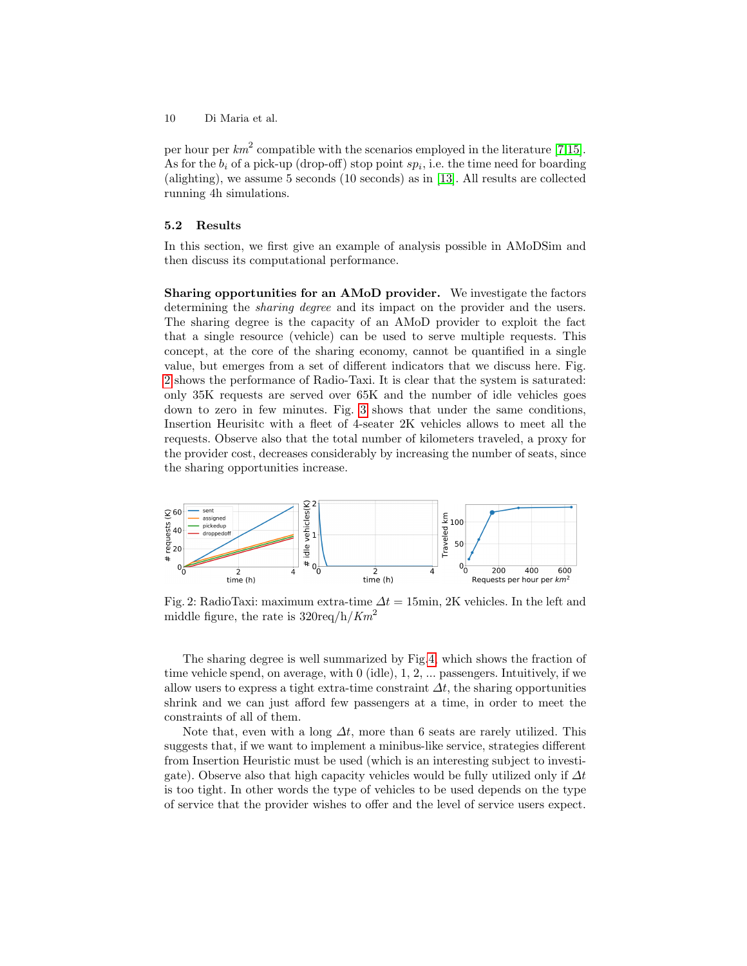per hour per  $km^2$  compatible with the scenarios employed in the literature [\[7,](#page-12-3)[15\]](#page-12-14). As for the  $b_i$  of a pick-up (drop-off) stop point  $sp_i$ , i.e. the time need for boarding (alighting), we assume 5 seconds (10 seconds) as in [\[13\]](#page-12-17). All results are collected running 4h simulations.

## 5.2 Results

In this section, we first give an example of analysis possible in AMoDSim and then discuss its computational performance.

Sharing opportunities for an AMoD provider. We investigate the factors determining the sharing degree and its impact on the provider and the users. The sharing degree is the capacity of an AMoD provider to exploit the fact that a single resource (vehicle) can be used to serve multiple requests. This concept, at the core of the sharing economy, cannot be quantified in a single value, but emerges from a set of different indicators that we discuss here. Fig. [2](#page-9-0) shows the performance of Radio-Taxi. It is clear that the system is saturated: only 35K requests are served over 65K and the number of idle vehicles goes down to zero in few minutes. Fig. [3](#page-10-0) shows that under the same conditions, Insertion Heurisitc with a fleet of 4-seater 2K vehicles allows to meet all the requests. Observe also that the total number of kilometers traveled, a proxy for the provider cost, decreases considerably by increasing the number of seats, since the sharing opportunities increase.

<span id="page-9-0"></span>

Fig. 2: RadioTaxi: maximum extra-time  $\Delta t = 15$ min, 2K vehicles. In the left and middle figure, the rate is  $320 \text{req}/h/Km^2$ 

The sharing degree is well summarized by Fig[.4,](#page-10-1) which shows the fraction of time vehicle spend, on average, with 0 (idle), 1, 2, ... passengers. Intuitively, if we allow users to express a tight extra-time constraint  $\Delta t$ , the sharing opportunities shrink and we can just afford few passengers at a time, in order to meet the constraints of all of them.

Note that, even with a long  $\Delta t$ , more than 6 seats are rarely utilized. This suggests that, if we want to implement a minibus-like service, strategies different from Insertion Heuristic must be used (which is an interesting subject to investigate). Observe also that high capacity vehicles would be fully utilized only if  $\Delta t$ is too tight. In other words the type of vehicles to be used depends on the type of service that the provider wishes to offer and the level of service users expect.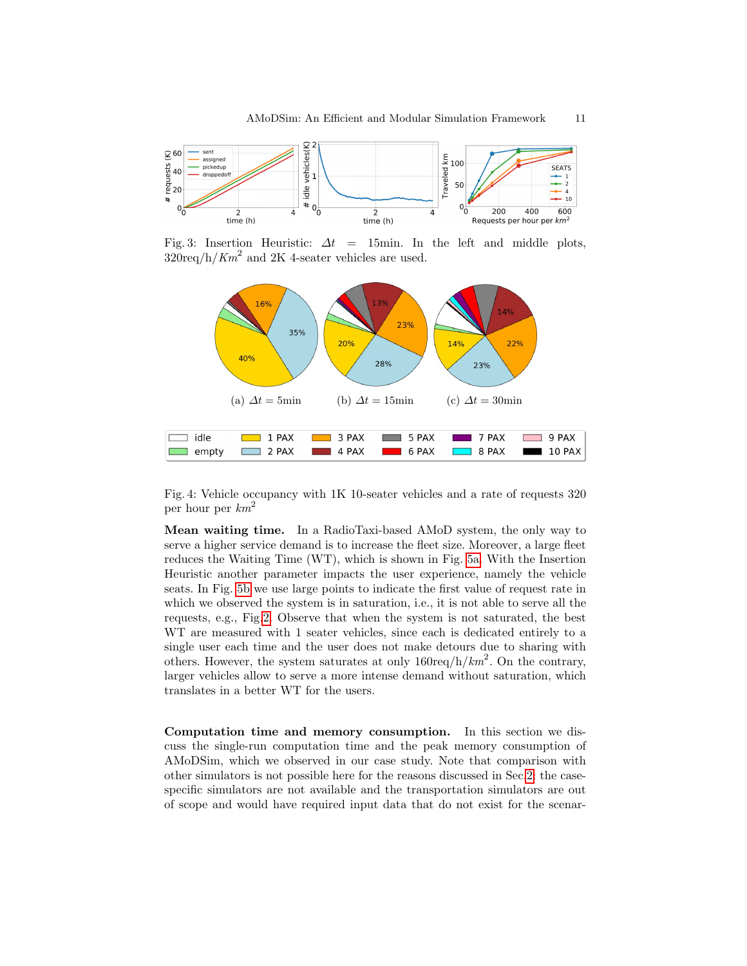<span id="page-10-0"></span>

Fig. 3: Insertion Heuristic:  $\Delta t = 15$ min. In the left and middle plots,  $320 \text{req/h}/Km^2$  and 2K 4-seater vehicles are used.

<span id="page-10-1"></span>

Fig. 4: Vehicle occupancy with 1K 10-seater vehicles and a rate of requests 320 per hour per  $km^2$ 

Mean waiting time. In a RadioTaxi-based AMoD system, the only way to serve a higher service demand is to increase the fleet size. Moreover, a large fleet reduces the Waiting Time (WT), which is shown in Fig. [5a.](#page-11-5) With the Insertion Heuristic another parameter impacts the user experience, namely the vehicle seats. In Fig. [5b](#page-11-5) we use large points to indicate the first value of request rate in which we observed the system is in saturation, i.e., it is not able to serve all the requests, e.g., Fig[.2.](#page-9-0) Observe that when the system is not saturated, the best WT are measured with 1 seater vehicles, since each is dedicated entirely to a single user each time and the user does not make detours due to sharing with others. However, the system saturates at only  $160 \text{req/h}/km^2$ . On the contrary, larger vehicles allow to serve a more intense demand without saturation, which translates in a better WT for the users.

Computation time and memory consumption. In this section we discuss the single-run computation time and the peak memory consumption of AMoDSim, which we observed in our case study. Note that comparison with other simulators is not possible here for the reasons discussed in Sec[.2:](#page-2-1) the casespecific simulators are not available and the transportation simulators are out of scope and would have required input data that do not exist for the scenar-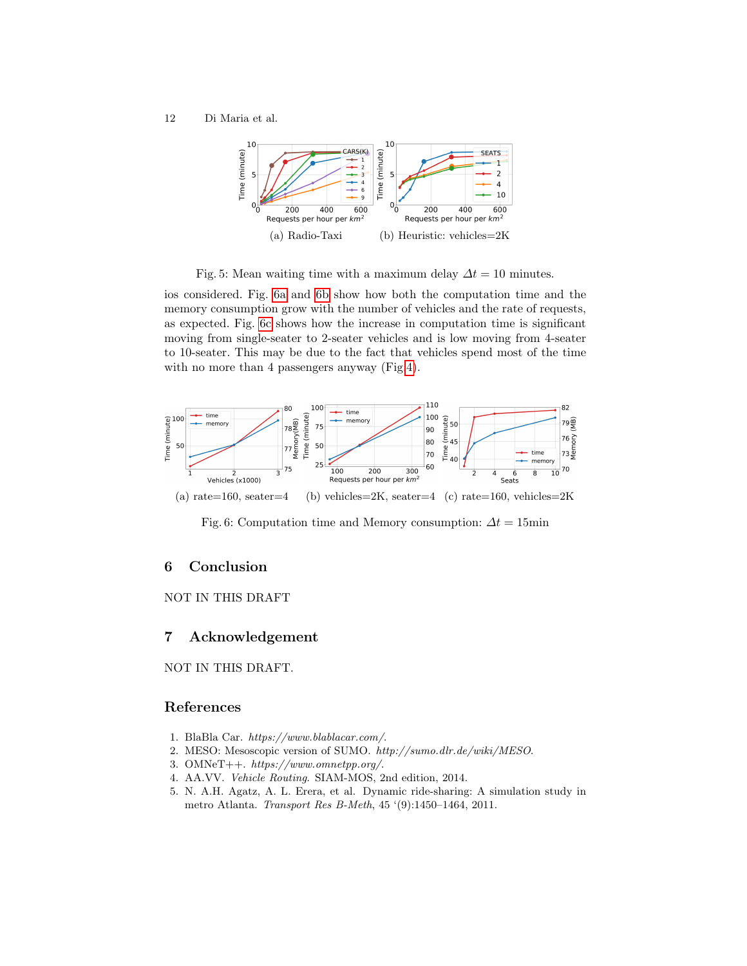<span id="page-11-5"></span>

Fig. 5: Mean waiting time with a maximum delay  $\Delta t = 10$  minutes.

ios considered. Fig. [6a](#page-11-6) and [6b](#page-11-6) show how both the computation time and the memory consumption grow with the number of vehicles and the rate of requests, as expected. Fig. [6c](#page-11-6) shows how the increase in computation time is significant moving from single-seater to 2-seater vehicles and is low moving from 4-seater to 10-seater. This may be due to the fact that vehicles spend most of the time with no more than 4 passengers anyway (Fig[.4\)](#page-10-1).

<span id="page-11-6"></span>

Fig. 6: Computation time and Memory consumption:  $\Delta t = 15$ min

# 6 Conclusion

NOT IN THIS DRAFT

# 7 Acknowledgement

NOT IN THIS DRAFT.

# References

- <span id="page-11-2"></span>1. BlaBla Car. https://www.blablacar.com/.
- <span id="page-11-3"></span>2. MESO: Mesoscopic version of SUMO. http://sumo.dlr.de/wiki/MESO.
- <span id="page-11-4"></span>3. OMNeT++. https://www.omnetpp.org/.
- <span id="page-11-0"></span>4. AA.VV. Vehicle Routing. SIAM-MOS, 2nd edition, 2014.
- <span id="page-11-1"></span>5. N. A.H. Agatz, A. L. Erera, et al. Dynamic ride-sharing: A simulation study in metro Atlanta. Transport Res B-Meth, 45 '(9):1450–1464, 2011.